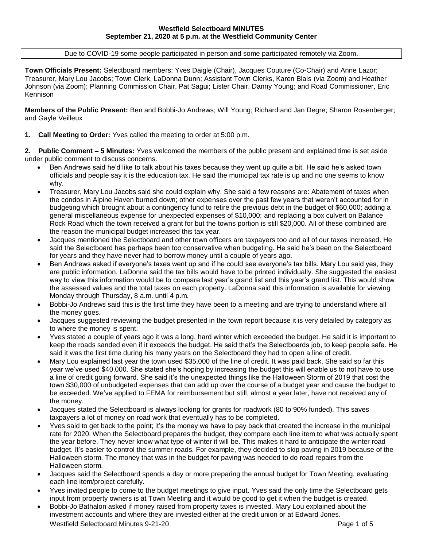Due to COVID-19 some people participated in person and some participated remotely via Zoom.

**Town Officials Present:** Selectboard members: Yves Daigle (Chair), Jacques Couture (Co-Chair) and Anne Lazor; Treasurer, Mary Lou Jacobs; Town Clerk, LaDonna Dunn; Assistant Town Clerks, Karen Blais (via Zoom) and Heather Johnson (via Zoom); Planning Commission Chair, Pat Sagui; Lister Chair, Danny Young; and Road Commissioner, Eric Kennison

**Members of the Public Present:** Ben and Bobbi-Jo Andrews; Will Young; Richard and Jan Degre; Sharon Rosenberger; and Gayle Veilleux

## **1. Call Meeting to Order:** Yves called the meeting to order at 5:00 p.m.

**2. Public Comment – 5 Minutes:** Yves welcomed the members of the public present and explained time is set aside under public comment to discuss concerns.

- Ben Andrews said he'd like to talk about his taxes because they went up quite a bit. He said he's asked town officials and people say it is the education tax. He said the municipal tax rate is up and no one seems to know why.
- Treasurer, Mary Lou Jacobs said she could explain why. She said a few reasons are: Abatement of taxes when the condos in Alpine Haven burned down; other expenses over the past few years that weren't accounted for in budgeting which brought about a contingency fund to retire the previous debt in the budget of \$60,000; adding a general miscellaneous expense for unexpected expenses of \$10,000; and replacing a box culvert on Balance Rock Road which the town received a grant for but the towns portion is still \$20,000. All of these combined are the reason the municipal budget increased this tax year.
- Jacques mentioned the Selectboard and other town officers are taxpayers too and all of our taxes increased. He said the Selectboard has perhaps been too conservative when budgeting. He said he's been on the Selectboard for years and they have never had to borrow money until a couple of years ago.
- Ben Andrews asked if everyone's taxes went up and if he could see everyone's tax bills. Mary Lou said yes, they are public information. LaDonna said the tax bills would have to be printed individually. She suggested the easiest way to view this information would be to compare last year's grand list and this year's grand list. This would show the assessed values and the total taxes on each property. LaDonna said this information is available for viewing Monday through Thursday, 8 a.m. until 4 p.m.
- Bobbi-Jo Andrews said this is the first time they have been to a meeting and are trying to understand where all the money goes.
- Jacques suggested reviewing the budget presented in the town report because it is very detailed by category as to where the money is spent.
- Yves stated a couple of years ago it was a long, hard winter which exceeded the budget. He said it is important to keep the roads sanded even if it exceeds the budget. He said that's the Selectboards job, to keep people safe. He said it was the first time during his many years on the Selectboard they had to open a line of credit.
- Mary Lou explained last year the town used \$35,000 of the line of credit. It was paid back. She said so far this year we've used \$40,000. She stated she's hoping by increasing the budget this will enable us to not have to use a line of credit going forward. She said it's the unexpected things like the Halloween Storm of 2019 that cost the town \$30,000 of unbudgeted expenses that can add up over the course of a budget year and cause the budget to be exceeded. We've applied to FEMA for reimbursement but still, almost a year later, have not received any of the money.
- Jacques stated the Selectboard is always looking for grants for roadwork (80 to 90% funded). This saves taxpayers a lot of money on road work that eventually has to be completed.
- Yves said to get back to the point; it's the money we have to pay back that created the increase in the municipal rate for 2020. When the Selectboard prepares the budget, they compare each line item to what was actually spent the year before. They never know what type of winter it will be. This makes it hard to anticipate the winter road budget. It's easier to control the summer roads. For example, they decided to skip paving in 2019 because of the Halloween storm. The money that was in the budget for paving was needed to do road repairs from the Halloween storm.
- Jacques said the Selectboard spends a day or more preparing the annual budget for Town Meeting, evaluating each line item/project carefully.
- Yves invited people to come to the budget meetings to give input. Yves said the only time the Selectboard gets input from property owners is at Town Meeting and it would be good to get it when the budget is created.
- Westfield Selectboard Minutes 9-21-20 **Page 1 of 5** Page 1 of 5 Bobbi-Jo Bathalon asked if money raised from property taxes is invested. Mary Lou explained about the investment accounts and where they are invested either at the credit union or at Edward Jones.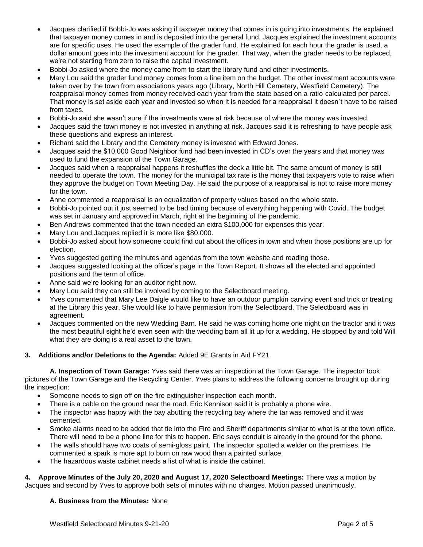- Jacques clarified if Bobbi-Jo was asking if taxpayer money that comes in is going into investments. He explained that taxpayer money comes in and is deposited into the general fund. Jacques explained the investment accounts are for specific uses. He used the example of the grader fund. He explained for each hour the grader is used, a dollar amount goes into the investment account for the grader. That way, when the grader needs to be replaced, we're not starting from zero to raise the capital investment.
- Bobbi-Jo asked where the money came from to start the library fund and other investments.
- Mary Lou said the grader fund money comes from a line item on the budget. The other investment accounts were taken over by the town from associations years ago (Library, North Hill Cemetery, Westfield Cemetery). The reappraisal money comes from money received each year from the state based on a ratio calculated per parcel. That money is set aside each year and invested so when it is needed for a reappraisal it doesn't have to be raised from taxes.
- Bobbi-Jo said she wasn't sure if the investments were at risk because of where the money was invested.
- Jacques said the town money is not invested in anything at risk. Jacques said it is refreshing to have people ask these questions and express an interest.
- Richard said the Library and the Cemetery money is invested with Edward Jones.
- Jacques said the \$10,000 Good Neighbor fund had been invested in CD's over the years and that money was used to fund the expansion of the Town Garage.
- Jacques said when a reappraisal happens it reshuffles the deck a little bit. The same amount of money is still needed to operate the town. The money for the municipal tax rate is the money that taxpayers vote to raise when they approve the budget on Town Meeting Day. He said the purpose of a reappraisal is not to raise more money for the town.
- Anne commented a reappraisal is an equalization of property values based on the whole state.
- Bobbi-Jo pointed out it just seemed to be bad timing because of everything happening with Covid. The budget was set in January and approved in March, right at the beginning of the pandemic.
- Ben Andrews commented that the town needed an extra \$100,000 for expenses this year.
- Mary Lou and Jacques replied it is more like \$80,000.
- Bobbi-Jo asked about how someone could find out about the offices in town and when those positions are up for election.
- Yves suggested getting the minutes and agendas from the town website and reading those.
- Jacques suggested looking at the officer's page in the Town Report. It shows all the elected and appointed positions and the term of office.
- Anne said we're looking for an auditor right now.
- Mary Lou said they can still be involved by coming to the Selectboard meeting.
- Yves commented that Mary Lee Daigle would like to have an outdoor pumpkin carving event and trick or treating at the Library this year. She would like to have permission from the Selectboard. The Selectboard was in agreement.
- Jacques commented on the new Wedding Barn. He said he was coming home one night on the tractor and it was the most beautiful sight he'd even seen with the wedding barn all lit up for a wedding. He stopped by and told Will what they are doing is a real asset to the town.

#### **3. Additions and/or Deletions to the Agenda:** Added 9E Grants in Aid FY21.

**A. Inspection of Town Garage:** Yves said there was an inspection at the Town Garage. The inspector took pictures of the Town Garage and the Recycling Center. Yves plans to address the following concerns brought up during the inspection:

- Someone needs to sign off on the fire extinguisher inspection each month.
- There is a cable on the ground near the road. Eric Kennison said it is probably a phone wire.
- The inspector was happy with the bay abutting the recycling bay where the tar was removed and it was cemented.
- Smoke alarms need to be added that tie into the Fire and Sheriff departments similar to what is at the town office. There will need to be a phone line for this to happen. Eric says conduit is already in the ground for the phone.
- The walls should have two coats of semi-gloss paint. The inspector spotted a welder on the premises. He commented a spark is more apt to burn on raw wood than a painted surface.
- The hazardous waste cabinet needs a list of what is inside the cabinet.

**4. Approve Minutes of the July 20, 2020 and August 17, 2020 Selectboard Meetings:** There was a motion by Jacques and second by Yves to approve both sets of minutes with no changes. Motion passed unanimously.

#### **A. Business from the Minutes:** None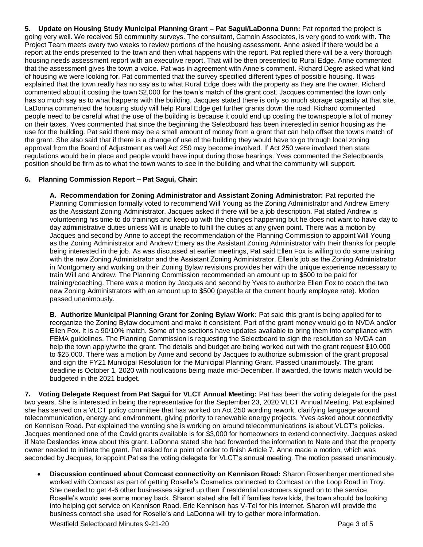**5. Update on Housing Study Municipal Planning Grant – Pat Sagui/LaDonna Dunn:** Pat reported the project is going very well. We received 50 community surveys. The consultant, Camoin Associates, is very good to work with. The Project Team meets every two weeks to review portions of the housing assessment. Anne asked if there would be a report at the ends presented to the town and then what happens with the report. Pat replied there will be a very thorough housing needs assessment report with an executive report. That will be then presented to Rural Edge. Anne commented that the assessment gives the town a voice. Pat was in agreement with Anne's comment. Richard Degre asked what kind of housing we were looking for. Pat commented that the survey specified different types of possible housing. It was explained that the town really has no say as to what Rural Edge does with the property as they are the owner. Richard commented about it costing the town \$2,000 for the town's match of the grant cost. Jacques commented the town only has so much say as to what happens with the building. Jacques stated there is only so much storage capacity at that site. LaDonna commented the housing study will help Rural Edge get further grants down the road. Richard commented people need to be careful what the use of the building is because it could end up costing the townspeople a lot of money on their taxes. Yves commented that since the beginning the Selectboard has been interested in senior housing as the use for the building. Pat said there may be a small amount of money from a grant that can help offset the towns match of the grant. She also said that if there is a change of use of the building they would have to go through local zoning approval from the Board of Adjustment as well Act 250 may become involved. If Act 250 were involved then state regulations would be in place and people would have input during those hearings. Yves commented the Selectboards position should be firm as to what the town wants to see in the building and what the community will support.

# **6. Planning Commission Report – Pat Sagui, Chair:**

**A. Recommendation for Zoning Administrator and Assistant Zoning Administrator:** Pat reported the Planning Commission formally voted to recommend Will Young as the Zoning Administrator and Andrew Emery as the Assistant Zoning Administrator. Jacques asked if there will be a job description. Pat stated Andrew is volunteering his time to do trainings and keep up with the changes happening but he does not want to have day to day administrative duties unless Will is unable to fulfill the duties at any given point. There was a motion by Jacques and second by Anne to accept the recommendation of the Planning Commission to appoint Will Young as the Zoning Administrator and Andrew Emery as the Assistant Zoning Administrator with their thanks for people being interested in the job. As was discussed at earlier meetings, Pat said Ellen Fox is willing to do some training with the new Zoning Administrator and the Assistant Zoning Administrator. Ellen's job as the Zoning Administrator in Montgomery and working on their Zoning Bylaw revisions provides her with the unique experience necessary to train Will and Andrew. The Planning Commission recommended an amount up to \$500 to be paid for training/coaching. There was a motion by Jacques and second by Yves to authorize Ellen Fox to coach the two new Zoning Administrators with an amount up to \$500 (payable at the current hourly employee rate). Motion passed unanimously.

**B. Authorize Municipal Planning Grant for Zoning Bylaw Work:** Pat said this grant is being applied for to reorganize the Zoning Bylaw document and make it consistent. Part of the grant money would go to NVDA and/or Ellen Fox. It is a 90/10% match. Some of the sections have updates available to bring them into compliance with FEMA guidelines. The Planning Commission is requesting the Selectboard to sign the resolution so NVDA can help the town apply/write the grant. The details and budget are being worked out with the grant request \$10,000 to \$25,000. There was a motion by Anne and second by Jacques to authorize submission of the grant proposal and sign the FY21 Municipal Resolution for the Municipal Planning Grant. Passed unanimously. The grant deadline is October 1, 2020 with notifications being made mid-December. If awarded, the towns match would be budgeted in the 2021 budget.

**7. Voting Delegate Request from Pat Sagui for VLCT Annual Meeting:** Pat has been the voting delegate for the past two years. She is interested in being the representative for the September 23, 2020 VLCT Annual Meeting. Pat explained she has served on a VLCT policy committee that has worked on Act 250 wording rework, clarifying language around telecommunication, energy and environment, giving priority to renewable energy projects. Yves asked about connectivity on Kennison Road. Pat explained the wording she is working on around telecommunications is about VLCT's policies. Jacques mentioned one of the Covid grants available is for \$3,000 for homeowners to extend connectivity. Jacques asked if Nate Deslandes knew about this grant. LaDonna stated she had forwarded the information to Nate and that the property owner needed to initiate the grant. Pat asked for a point of order to finish Article 7. Anne made a motion, which was seconded by Jacques, to appoint Pat as the voting delegate for VLCT's annual meeting. The motion passed unanimously.

 **Discussion continued about Comcast connectivity on Kennison Road:** Sharon Rosenberger mentioned she worked with Comcast as part of getting Roselle's Cosmetics connected to Comcast on the Loop Road in Troy. She needed to get 4-6 other businesses signed up then if residential customers signed on to the service, Roselle's would see some money back. Sharon stated she felt if families have kids, the town should be looking into helping get service on Kennison Road. Eric Kennison has V-Tel for his internet. Sharon will provide the business contact she used for Roselle's and LaDonna will try to gather more information.

Westfield Selectboard Minutes 9-21-20 **Page 3 of 5** Page 3 of 5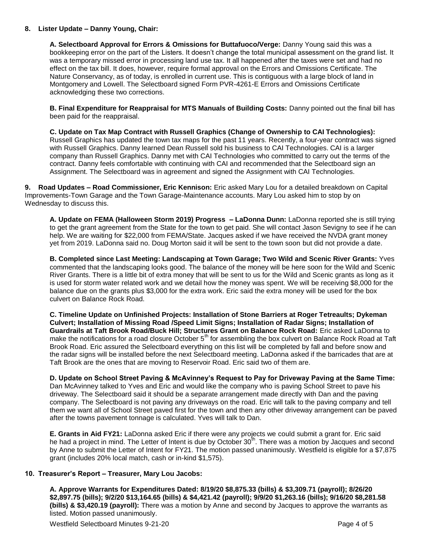### **8. Lister Update – Danny Young, Chair:**

**A. Selectboard Approval for Errors & Omissions for Buttafuoco/Verge:** Danny Young said this was a bookkeeping error on the part of the Listers. It doesn't change the total municipal assessment on the grand list. It was a temporary missed error in processing land use tax. It all happened after the taxes were set and had no effect on the tax bill. It does, however, require formal approval on the Errors and Omissions Certificate. The Nature Conservancy, as of today, is enrolled in current use. This is contiguous with a large block of land in Montgomery and Lowell. The Selectboard signed Form PVR-4261-E Errors and Omissions Certificate acknowledging these two corrections.

**B. Final Expenditure for Reappraisal for MTS Manuals of Building Costs:** Danny pointed out the final bill has been paid for the reappraisal.

**C. Update on Tax Map Contract with Russell Graphics (Change of Ownership to CAI Technologies):**  Russell Graphics has updated the town tax maps for the past 11 years. Recently, a four-year contract was signed with Russell Graphics. Danny learned Dean Russell sold his business to CAI Technologies. CAI is a larger company than Russell Graphics. Danny met with CAI Technologies who committed to carry out the terms of the contract. Danny feels comfortable with continuing with CAI and recommended that the Selectboard sign an Assignment. The Selectboard was in agreement and signed the Assignment with CAI Technologies.

**9. Road Updates – Road Commissioner, Eric Kennison:** Eric asked Mary Lou for a detailed breakdown on Capital Improvements-Town Garage and the Town Garage-Maintenance accounts. Mary Lou asked him to stop by on Wednesday to discuss this.

**A. Update on FEMA (Halloween Storm 2019) Progress – LaDonna Dunn:** LaDonna reported she is still trying to get the grant agreement from the State for the town to get paid. She will contact Jason Sevigny to see if he can help. We are waiting for \$22,000 from FEMA/State. Jacques asked if we have received the NVDA grant money yet from 2019. LaDonna said no. Doug Morton said it will be sent to the town soon but did not provide a date.

**B. Completed since Last Meeting: Landscaping at Town Garage; Two Wild and Scenic River Grants:** Yves commented that the landscaping looks good. The balance of the money will be here soon for the Wild and Scenic River Grants. There is a little bit of extra money that will be sent to us for the Wild and Scenic grants as long as it is used for storm water related work and we detail how the money was spent. We will be receiving \$8,000 for the balance due on the grants plus \$3,000 for the extra work. Eric said the extra money will be used for the box culvert on Balance Rock Road.

**C. Timeline Update on Unfinished Projects: Installation of Stone Barriers at Roger Tetreaults; Dykeman Culvert; Installation of Missing Road /Speed Limit Signs; Installation of Radar Signs; Installation of Guardrails at Taft Brook Road/Buck Hill; Structures Grant on Balance Rock Road:** Eric asked LaDonna to make the notifications for a road closure October  $5<sup>th</sup>$  for assembling the box culvert on Balance Rock Road at Taft Brook Road. Eric assured the Selectboard everything on this list will be completed by fall and before snow and the radar signs will be installed before the next Selectboard meeting. LaDonna asked if the barricades that are at Taft Brook are the ones that are moving to Reservoir Road. Eric said two of them are.

**D. Update on School Street Paving & McAvinney's Request to Pay for Driveway Paving at the Same Time:** Dan McAvinney talked to Yves and Eric and would like the company who is paving School Street to pave his driveway. The Selectboard said it should be a separate arrangement made directly with Dan and the paving company. The Selectboard is not paving any driveways on the road. Eric will talk to the paving company and tell them we want all of School Street paved first for the town and then any other driveway arrangement can be paved after the towns pavement tonnage is calculated. Yves will talk to Dan.

**E. Grants in Aid FY21:** LaDonna asked Eric if there were any projects we could submit a grant for. Eric said he had a project in mind. The Letter of Intent is due by October 30<sup>th</sup>. There was a motion by Jacques and second by Anne to submit the Letter of Intent for FY21. The motion passed unanimously. Westfield is eligible for a \$7,875 grant (includes 20% local match, cash or in-kind \$1,575).

# **10. Treasurer's Report – Treasurer, Mary Lou Jacobs:**

**A. Approve Warrants for Expenditures Dated: 8/19/20 \$8,875.33 (bills) & \$3,309.71 (payroll); 8/26/20 \$2,897.75 (bills); 9/2/20 \$13,164.65 (bills) & \$4,421.42 (payroll); 9/9/20 \$1,263.16 (bills); 9/16/20 \$8,281.58 (bills) & \$3,420.19 (payroll):** There was a motion by Anne and second by Jacques to approve the warrants as listed. Motion passed unanimously.

Westfield Selectboard Minutes 9-21-20 **Page 4 of 5** Page 4 of 5